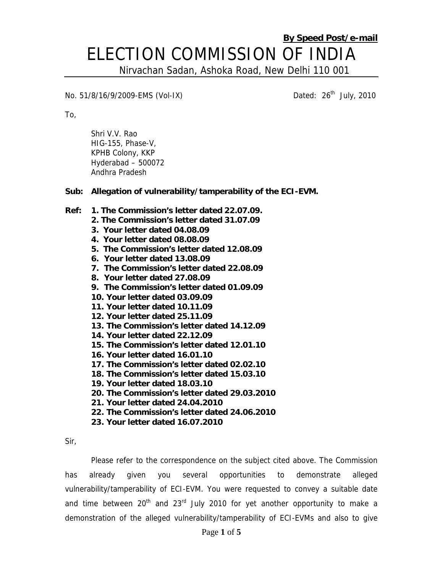# **By Speed Post/e-mail** ELECTION COMMISSION OF INDIA

Nirvachan Sadan, Ashoka Road, New Delhi 110 001

### No. 51/8/16/9/2009-EMS (Vol-IX) Channel Dated: 26<sup>th</sup> July, 2010

To,

Shri V.V. Rao HIG-155, Phase-V, KPHB Colony, KKP Hyderabad – 500072 Andhra Pradesh

#### **Sub: Allegation of vulnerability/tamperability of the ECI-EVM.**

#### **Ref: 1. The Commission's letter dated 22.07.09.**

- **2. The Commission's letter dated 31.07.09**
- **3. Your letter dated 04.08.09**
- **4. Your letter dated 08.08.09**
- **5. The Commission's letter dated 12.08.09**
- **6. Your letter dated 13.08.09**
- **7. The Commission's letter dated 22.08.09**
- **8. Your letter dated 27.08.09**
- **9. The Commission's letter dated 01.09.09**
- **10. Your letter dated 03.09.09**
- **11. Your letter dated 10.11.09**
- **12. Your letter dated 25.11.09**
- **13. The Commission's letter dated 14.12.09**
- **14. Your letter dated 22.12.09**
- **15. The Commission's letter dated 12.01.10**
- **16. Your letter dated 16.01.10**
- **17. The Commission's letter dated 02.02.10**
- **18. The Commission's letter dated 15.03.10**
- **19. Your letter dated 18.03.10**
- **20. The Commission's letter dated 29.03.2010**
- **21. Your letter dated 24.04.2010**
- **22. The Commission's letter dated 24.06.2010**
- **23. Your letter dated 16.07.2010**

Sir,

Please refer to the correspondence on the subject cited above. The Commission has already given you several opportunities to demonstrate alleged vulnerability/tamperability of ECI-EVM. You were requested to convey a suitable date and time between  $20<sup>th</sup>$  and  $23<sup>rd</sup>$  July 2010 for yet another opportunity to make a demonstration of the alleged vulnerability/tamperability of ECI-EVMs and also to give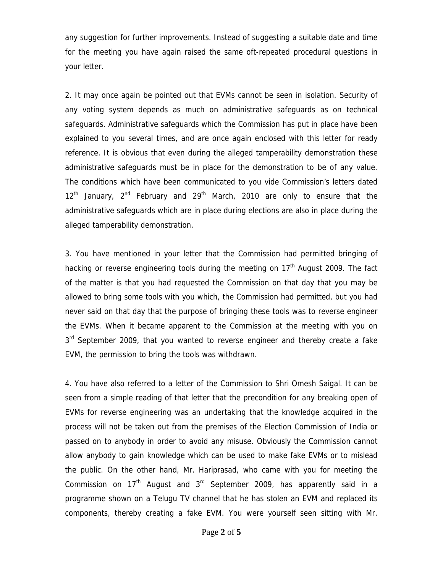any suggestion for further improvements. Instead of suggesting a suitable date and time for the meeting you have again raised the same oft-repeated procedural questions in your letter.

2. It may once again be pointed out that EVMs cannot be seen in isolation. Security of any voting system depends as much on administrative safeguards as on technical safeguards. Administrative safeguards which the Commission has put in place have been explained to you several times, and are once again enclosed with this letter for ready reference. It is obvious that even during the alleged tamperability demonstration these administrative safeguards must be in place for the demonstration to be of any value. The conditions which have been communicated to you vide Commission's letters dated  $12<sup>th</sup>$  January,  $2<sup>nd</sup>$  February and  $29<sup>th</sup>$  March, 2010 are only to ensure that the administrative safeguards which are in place during elections are also in place during the alleged tamperability demonstration.

3. You have mentioned in your letter that the Commission had permitted bringing of hacking or reverse engineering tools during the meeting on 17<sup>th</sup> August 2009. The fact of the matter is that you had requested the Commission on that day that you may be allowed to bring some tools with you which, the Commission had permitted, but you had never said on that day that the purpose of bringing these tools was to reverse engineer the EVMs. When it became apparent to the Commission at the meeting with you on  $3<sup>rd</sup>$  September 2009, that you wanted to reverse engineer and thereby create a fake EVM, the permission to bring the tools was withdrawn.

4. You have also referred to a letter of the Commission to Shri Omesh Saigal. It can be seen from a simple reading of that letter that the precondition for any breaking open of EVMs for reverse engineering was an undertaking that the knowledge acquired in the process will not be taken out from the premises of the Election Commission of India or passed on to anybody in order to avoid any misuse. Obviously the Commission cannot allow anybody to gain knowledge which can be used to make fake EVMs or to mislead the public. On the other hand, Mr. Hariprasad, who came with you for meeting the Commission on  $17<sup>th</sup>$  August and  $3<sup>rd</sup>$  September 2009, has apparently said in a programme shown on a Telugu TV channel that he has stolen an EVM and replaced its components, thereby creating a fake EVM. You were yourself seen sitting with Mr.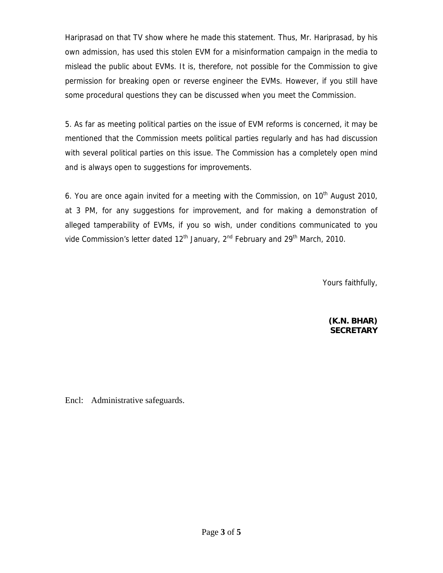Hariprasad on that TV show where he made this statement. Thus, Mr. Hariprasad, by his own admission, has used this stolen EVM for a misinformation campaign in the media to mislead the public about EVMs. It is, therefore, not possible for the Commission to give permission for breaking open or reverse engineer the EVMs. However, if you still have some procedural questions they can be discussed when you meet the Commission.

5. As far as meeting political parties on the issue of EVM reforms is concerned, it may be mentioned that the Commission meets political parties regularly and has had discussion with several political parties on this issue. The Commission has a completely open mind and is always open to suggestions for improvements.

6. You are once again invited for a meeting with the Commission, on  $10<sup>th</sup>$  August 2010, at 3 PM, for any suggestions for improvement, and for making a demonstration of alleged tamperability of EVMs, if you so wish, under conditions communicated to you vide Commission's letter dated  $12<sup>th</sup>$  January,  $2<sup>nd</sup>$  February and  $29<sup>th</sup>$  March, 2010.

Yours faithfully,

**(K.N. BHAR) SECRETARY** 

Encl: Administrative safeguards.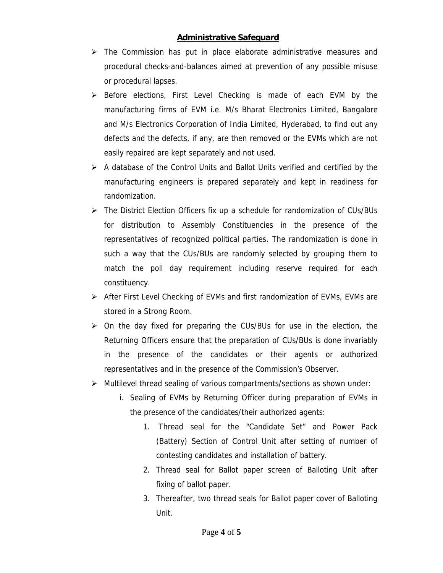## **Administrative Safeguard**

- $\triangleright$  The Commission has put in place elaborate administrative measures and procedural checks-and-balances aimed at prevention of any possible misuse or procedural lapses.
- $\triangleright$  Before elections, First Level Checking is made of each EVM by the manufacturing firms of EVM i.e. M/s Bharat Electronics Limited, Bangalore and M/s Electronics Corporation of India Limited, Hyderabad, to find out any defects and the defects, if any, are then removed or the EVMs which are not easily repaired are kept separately and not used.
- $\triangleright$  A database of the Control Units and Ballot Units verified and certified by the manufacturing engineers is prepared separately and kept in readiness for randomization.
- ¾ The District Election Officers fix up a schedule for randomization of CUs/BUs for distribution to Assembly Constituencies in the presence of the representatives of recognized political parties. The randomization is done in such a way that the CUs/BUs are randomly selected by grouping them to match the poll day requirement including reserve required for each constituency.
- ¾ After First Level Checking of EVMs and first randomization of EVMs, EVMs are stored in a Strong Room.
- $\triangleright$  On the day fixed for preparing the CUs/BUs for use in the election, the Returning Officers ensure that the preparation of CUs/BUs is done invariably in the presence of the candidates or their agents or authorized representatives and in the presence of the Commission's Observer.
- $\triangleright$  Multilevel thread sealing of various compartments/sections as shown under:
	- i. Sealing of EVMs by Returning Officer during preparation of EVMs in the presence of the candidates/their authorized agents:
		- 1. Thread seal for the "Candidate Set" and Power Pack (Battery) Section of Control Unit after setting of number of contesting candidates and installation of battery.
		- 2. Thread seal for Ballot paper screen of Balloting Unit after fixing of ballot paper.
		- 3. Thereafter, two thread seals for Ballot paper cover of Balloting Unit.